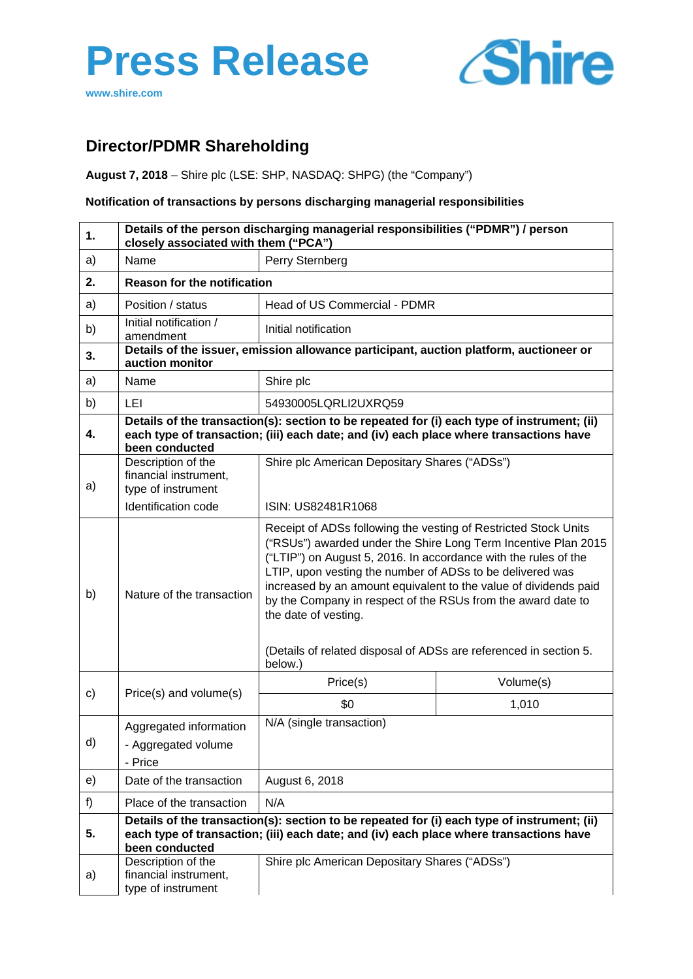# **Press Release**





# **Director/PDMR Shareholding**

**August 7, 2018** – Shire plc (LSE: SHP, NASDAQ: SHPG) (the "Company")

## **Notification of transactions by persons discharging managerial responsibilities**

| 1. | Details of the person discharging managerial responsibilities ("PDMR") / person<br>closely associated with them ("PCA") |                                                                                                                                                                                                                                                                                                                                                                                                                                                                                                    |           |  |
|----|-------------------------------------------------------------------------------------------------------------------------|----------------------------------------------------------------------------------------------------------------------------------------------------------------------------------------------------------------------------------------------------------------------------------------------------------------------------------------------------------------------------------------------------------------------------------------------------------------------------------------------------|-----------|--|
| a) | Name                                                                                                                    | Perry Sternberg                                                                                                                                                                                                                                                                                                                                                                                                                                                                                    |           |  |
| 2. | <b>Reason for the notification</b>                                                                                      |                                                                                                                                                                                                                                                                                                                                                                                                                                                                                                    |           |  |
| a) | Position / status                                                                                                       | Head of US Commercial - PDMR                                                                                                                                                                                                                                                                                                                                                                                                                                                                       |           |  |
| b) | Initial notification /<br>amendment                                                                                     | Initial notification                                                                                                                                                                                                                                                                                                                                                                                                                                                                               |           |  |
| 3. | auction monitor                                                                                                         | Details of the issuer, emission allowance participant, auction platform, auctioneer or                                                                                                                                                                                                                                                                                                                                                                                                             |           |  |
| a) | Name                                                                                                                    | Shire plc                                                                                                                                                                                                                                                                                                                                                                                                                                                                                          |           |  |
| b) | LEI                                                                                                                     | 54930005LQRLI2UXRQ59                                                                                                                                                                                                                                                                                                                                                                                                                                                                               |           |  |
| 4. | been conducted                                                                                                          | Details of the transaction(s): section to be repeated for (i) each type of instrument; (ii)<br>each type of transaction; (iii) each date; and (iv) each place where transactions have                                                                                                                                                                                                                                                                                                              |           |  |
| a) | Description of the<br>financial instrument,<br>type of instrument                                                       | Shire plc American Depositary Shares ("ADSs")                                                                                                                                                                                                                                                                                                                                                                                                                                                      |           |  |
|    | Identification code                                                                                                     | ISIN: US82481R1068                                                                                                                                                                                                                                                                                                                                                                                                                                                                                 |           |  |
| b) | Nature of the transaction                                                                                               | Receipt of ADSs following the vesting of Restricted Stock Units<br>("RSUs") awarded under the Shire Long Term Incentive Plan 2015<br>("LTIP") on August 5, 2016. In accordance with the rules of the<br>LTIP, upon vesting the number of ADSs to be delivered was<br>increased by an amount equivalent to the value of dividends paid<br>by the Company in respect of the RSUs from the award date to<br>the date of vesting.<br>(Details of related disposal of ADSs are referenced in section 5. |           |  |
|    |                                                                                                                         | below.)                                                                                                                                                                                                                                                                                                                                                                                                                                                                                            |           |  |
| c) | Price(s) and volume(s)                                                                                                  | Price(s)                                                                                                                                                                                                                                                                                                                                                                                                                                                                                           | Volume(s) |  |
|    |                                                                                                                         | \$0                                                                                                                                                                                                                                                                                                                                                                                                                                                                                                | 1,010     |  |
| d) | Aggregated information<br>- Aggregated volume<br>- Price                                                                | N/A (single transaction)                                                                                                                                                                                                                                                                                                                                                                                                                                                                           |           |  |
| e) | Date of the transaction                                                                                                 | August 6, 2018                                                                                                                                                                                                                                                                                                                                                                                                                                                                                     |           |  |
| f) | Place of the transaction                                                                                                | N/A                                                                                                                                                                                                                                                                                                                                                                                                                                                                                                |           |  |
| 5. | been conducted                                                                                                          | Details of the transaction(s): section to be repeated for (i) each type of instrument; (ii)<br>each type of transaction; (iii) each date; and (iv) each place where transactions have                                                                                                                                                                                                                                                                                                              |           |  |
| a) | Description of the<br>financial instrument,<br>type of instrument                                                       | Shire plc American Depositary Shares ("ADSs")                                                                                                                                                                                                                                                                                                                                                                                                                                                      |           |  |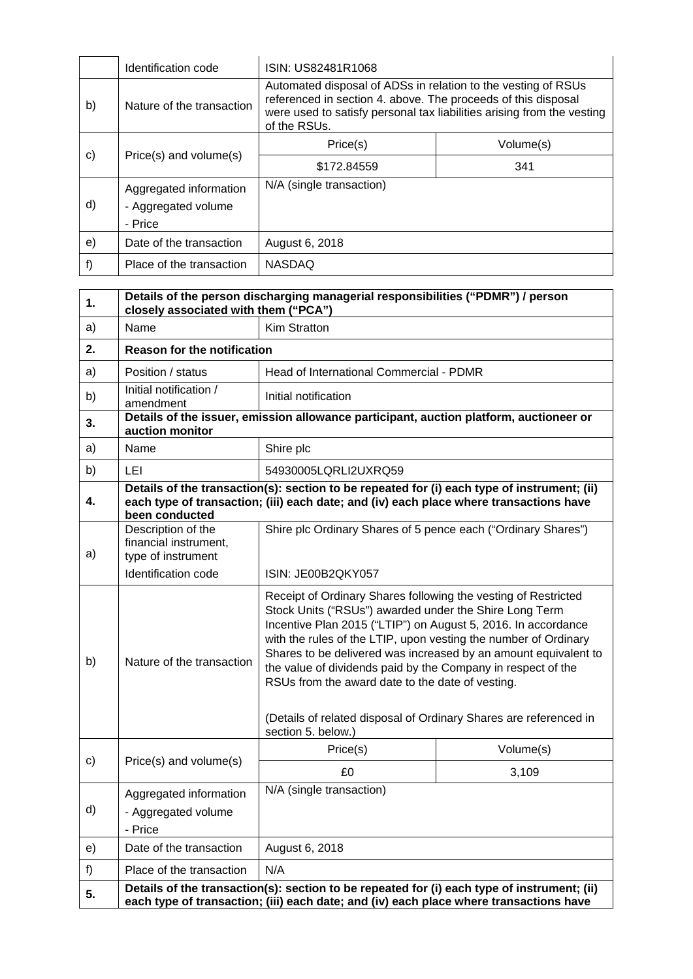|    | Identification code       | ISIN: US82481R1068                                                                                                                                                                                                       |           |
|----|---------------------------|--------------------------------------------------------------------------------------------------------------------------------------------------------------------------------------------------------------------------|-----------|
| b) | Nature of the transaction | Automated disposal of ADSs in relation to the vesting of RSUs<br>referenced in section 4. above. The proceeds of this disposal<br>were used to satisfy personal tax liabilities arising from the vesting<br>of the RSUs. |           |
| c) | Price(s) and volume(s)    | Price(s)                                                                                                                                                                                                                 | Volume(s) |
|    |                           | \$172.84559                                                                                                                                                                                                              | 341       |
| d) | Aggregated information    | N/A (single transaction)                                                                                                                                                                                                 |           |
|    | - Aggregated volume       |                                                                                                                                                                                                                          |           |
|    | - Price                   |                                                                                                                                                                                                                          |           |
| e) | Date of the transaction   | August 6, 2018                                                                                                                                                                                                           |           |
| f) | Place of the transaction  | <b>NASDAQ</b>                                                                                                                                                                                                            |           |

| 1. | Details of the person discharging managerial responsibilities ("PDMR") / person<br>closely associated with them ("PCA") |                                                                                                                                                                                                                                                                                                                                                                                                                                                                                                                          |           |  |
|----|-------------------------------------------------------------------------------------------------------------------------|--------------------------------------------------------------------------------------------------------------------------------------------------------------------------------------------------------------------------------------------------------------------------------------------------------------------------------------------------------------------------------------------------------------------------------------------------------------------------------------------------------------------------|-----------|--|
| a) | Name                                                                                                                    | Kim Stratton                                                                                                                                                                                                                                                                                                                                                                                                                                                                                                             |           |  |
| 2. | <b>Reason for the notification</b>                                                                                      |                                                                                                                                                                                                                                                                                                                                                                                                                                                                                                                          |           |  |
| a) | Position / status                                                                                                       | Head of International Commercial - PDMR                                                                                                                                                                                                                                                                                                                                                                                                                                                                                  |           |  |
| b) | Initial notification /<br>amendment                                                                                     | Initial notification                                                                                                                                                                                                                                                                                                                                                                                                                                                                                                     |           |  |
| 3. | auction monitor                                                                                                         | Details of the issuer, emission allowance participant, auction platform, auctioneer or                                                                                                                                                                                                                                                                                                                                                                                                                                   |           |  |
| a) | Name                                                                                                                    | Shire plc                                                                                                                                                                                                                                                                                                                                                                                                                                                                                                                |           |  |
| b) | LEI                                                                                                                     | 54930005LQRLI2UXRQ59                                                                                                                                                                                                                                                                                                                                                                                                                                                                                                     |           |  |
| 4. | been conducted                                                                                                          | Details of the transaction(s): section to be repeated for (i) each type of instrument; (ii)<br>each type of transaction; (iii) each date; and (iv) each place where transactions have                                                                                                                                                                                                                                                                                                                                    |           |  |
| a) | Description of the<br>financial instrument,<br>type of instrument                                                       | Shire plc Ordinary Shares of 5 pence each ("Ordinary Shares")                                                                                                                                                                                                                                                                                                                                                                                                                                                            |           |  |
|    | Identification code                                                                                                     | ISIN: JE00B2QKY057                                                                                                                                                                                                                                                                                                                                                                                                                                                                                                       |           |  |
| b) | Nature of the transaction                                                                                               | Receipt of Ordinary Shares following the vesting of Restricted<br>Stock Units ("RSUs") awarded under the Shire Long Term<br>Incentive Plan 2015 ("LTIP") on August 5, 2016. In accordance<br>with the rules of the LTIP, upon vesting the number of Ordinary<br>Shares to be delivered was increased by an amount equivalent to<br>the value of dividends paid by the Company in respect of the<br>RSUs from the award date to the date of vesting.<br>(Details of related disposal of Ordinary Shares are referenced in |           |  |
|    |                                                                                                                         | section 5. below.)                                                                                                                                                                                                                                                                                                                                                                                                                                                                                                       |           |  |
| C) | Price(s) and volume(s)                                                                                                  | Price(s)                                                                                                                                                                                                                                                                                                                                                                                                                                                                                                                 | Volume(s) |  |
|    |                                                                                                                         | £0                                                                                                                                                                                                                                                                                                                                                                                                                                                                                                                       | 3,109     |  |
| d) | Aggregated information<br>- Aggregated volume<br>- Price                                                                | N/A (single transaction)                                                                                                                                                                                                                                                                                                                                                                                                                                                                                                 |           |  |
| e) | Date of the transaction                                                                                                 | August 6, 2018                                                                                                                                                                                                                                                                                                                                                                                                                                                                                                           |           |  |
| f) | Place of the transaction                                                                                                | N/A                                                                                                                                                                                                                                                                                                                                                                                                                                                                                                                      |           |  |
| 5. |                                                                                                                         | Details of the transaction(s): section to be repeated for (i) each type of instrument; (ii)<br>each type of transaction; (iii) each date; and (iv) each place where transactions have                                                                                                                                                                                                                                                                                                                                    |           |  |